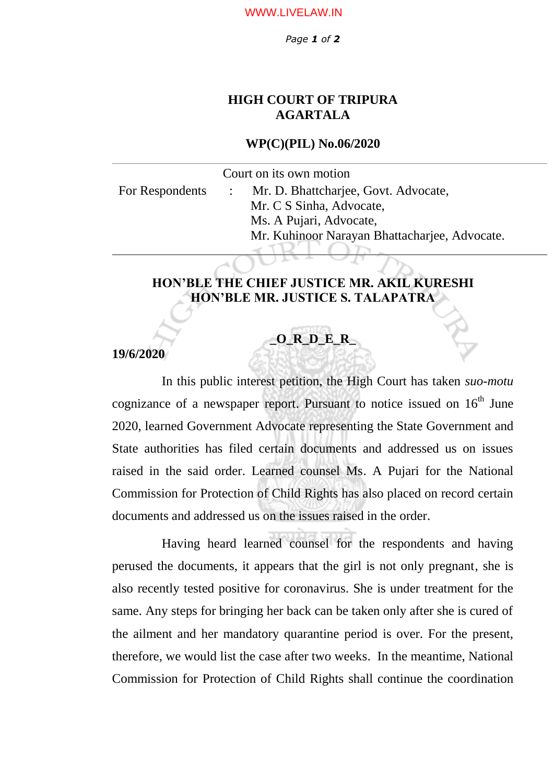*Page 1 of 2*

## **HIGH COURT OF TRIPURA AGARTALA**

### **WP(C)(PIL) No.06/2020**

Court on its own motion

For Respondents : Mr. D. Bhattcharjee, Govt. Advocate, Mr. C S Sinha, Advocate, Ms. A Pujari, Advocate, Mr. Kuhinoor Narayan Bhattacharjee, Advocate.

## **HON'BLE THE CHIEF JUSTICE MR. AKIL KURESHI HON'BLE MR. JUSTICE S. TALAPATRA**

# **\_O\_R\_D\_E\_R\_**

### **19/6/2020**

 In this public interest petition, the High Court has taken *suo-motu* cognizance of a newspaper report. Pursuant to notice issued on  $16<sup>th</sup>$  June 2020, learned Government Advocate representing the State Government and State authorities has filed certain documents and addressed us on issues raised in the said order. Learned counsel Ms. A Pujari for the National Commission for Protection of Child Rights has also placed on record certain documents and addressed us on the issues raised in the order.

 Having heard learned counsel for the respondents and having perused the documents, it appears that the girl is not only pregnant, she is also recently tested positive for coronavirus. She is under treatment for the same. Any steps for bringing her back can be taken only after she is cured of the ailment and her mandatory quarantine period is over. For the present, therefore, we would list the case after two weeks. In the meantime, National Commission for Protection of Child Rights shall continue the coordination